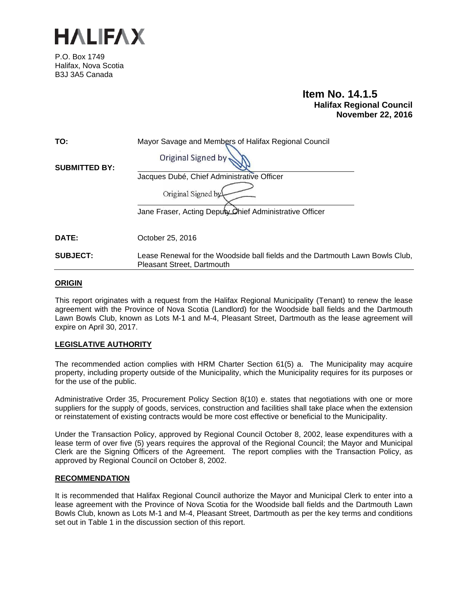

P.O. Box 1749 Halifax, Nova Scotia B3J 3A5 Canada

# **Item No. 14.1.5 Halifax Regional Council November 22, 2016**

| TO:                  | Mayor Savage and Members of Halifax Regional Council                                                        |  |
|----------------------|-------------------------------------------------------------------------------------------------------------|--|
| <b>SUBMITTED BY:</b> | <b>Original Signed by</b>                                                                                   |  |
|                      | Jacques Dubé, Chief Administrative Officer                                                                  |  |
|                      | Original Signed by<br>Jane Fraser, Acting Deputy Chief Administrative Officer                               |  |
| DATE:                | October 25, 2016                                                                                            |  |
| <b>SUBJECT:</b>      | Lease Renewal for the Woodside ball fields and the Dartmouth Lawn Bowls Club,<br>Pleasant Street, Dartmouth |  |

## **ORIGIN**

This report originates with a request from the Halifax Regional Municipality (Tenant) to renew the lease agreement with the Province of Nova Scotia (Landlord) for the Woodside ball fields and the Dartmouth Lawn Bowls Club, known as Lots M-1 and M-4, Pleasant Street, Dartmouth as the lease agreement will expire on April 30, 2017.

# **LEGISLATIVE AUTHORITY**

The recommended action complies with HRM Charter Section 61(5) a. The Municipality may acquire property, including property outside of the Municipality, which the Municipality requires for its purposes or for the use of the public.

Administrative Order 35, Procurement Policy Section 8(10) e. states that negotiations with one or more suppliers for the supply of goods, services, construction and facilities shall take place when the extension or reinstatement of existing contracts would be more cost effective or beneficial to the Municipality.

Under the Transaction Policy, approved by Regional Council October 8, 2002, lease expenditures with a lease term of over five (5) years requires the approval of the Regional Council; the Mayor and Municipal Clerk are the Signing Officers of the Agreement. The report complies with the Transaction Policy, as approved by Regional Council on October 8, 2002.

### **RECOMMENDATION**

It is recommended that Halifax Regional Council authorize the Mayor and Municipal Clerk to enter into a lease agreement with the Province of Nova Scotia for the Woodside ball fields and the Dartmouth Lawn Bowls Club, known as Lots M-1 and M-4, Pleasant Street, Dartmouth as per the key terms and conditions set out in Table 1 in the discussion section of this report.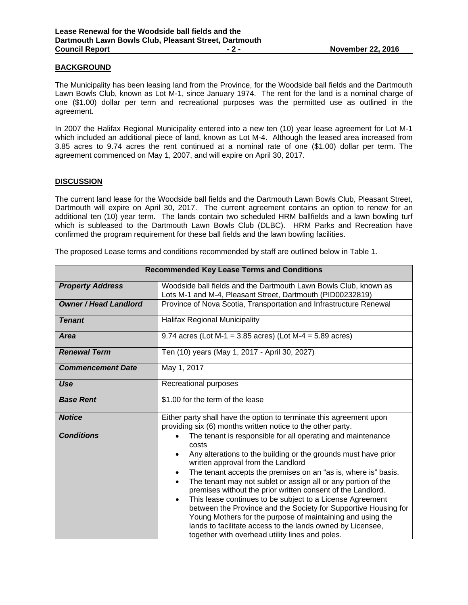# **BACKGROUND**

The Municipality has been leasing land from the Province, for the Woodside ball fields and the Dartmouth Lawn Bowls Club, known as Lot M-1, since January 1974. The rent for the land is a nominal charge of one (\$1.00) dollar per term and recreational purposes was the permitted use as outlined in the agreement.

In 2007 the Halifax Regional Municipality entered into a new ten (10) year lease agreement for Lot M-1 which included an additional piece of land, known as Lot M-4. Although the leased area increased from 3.85 acres to 9.74 acres the rent continued at a nominal rate of one (\$1.00) dollar per term. The agreement commenced on May 1, 2007, and will expire on April 30, 2017.

### **DISCUSSION**

The current land lease for the Woodside ball fields and the Dartmouth Lawn Bowls Club, Pleasant Street, Dartmouth will expire on April 30, 2017. The current agreement contains an option to renew for an additional ten (10) year term. The lands contain two scheduled HRM ballfields and a lawn bowling turf which is subleased to the Dartmouth Lawn Bowls Club (DLBC). HRM Parks and Recreation have confirmed the program requirement for these ball fields and the lawn bowling facilities.

The proposed Lease terms and conditions recommended by staff are outlined below in Table 1.

| <b>Recommended Key Lease Terms and Conditions</b> |                                                                                                                                                                                                                                                                                                                                                                                                                                                                                                                                                                                                                                                                                                                                                                |  |
|---------------------------------------------------|----------------------------------------------------------------------------------------------------------------------------------------------------------------------------------------------------------------------------------------------------------------------------------------------------------------------------------------------------------------------------------------------------------------------------------------------------------------------------------------------------------------------------------------------------------------------------------------------------------------------------------------------------------------------------------------------------------------------------------------------------------------|--|
| <b>Property Address</b>                           | Woodside ball fields and the Dartmouth Lawn Bowls Club, known as<br>Lots M-1 and M-4, Pleasant Street, Dartmouth (PID00232819)                                                                                                                                                                                                                                                                                                                                                                                                                                                                                                                                                                                                                                 |  |
| <b>Owner / Head Landlord</b>                      | Province of Nova Scotia, Transportation and Infrastructure Renewal                                                                                                                                                                                                                                                                                                                                                                                                                                                                                                                                                                                                                                                                                             |  |
| <b>Tenant</b>                                     | Halifax Regional Municipality                                                                                                                                                                                                                                                                                                                                                                                                                                                                                                                                                                                                                                                                                                                                  |  |
| Area                                              | 9.74 acres (Lot M-1 = 3.85 acres) (Lot M-4 = 5.89 acres)                                                                                                                                                                                                                                                                                                                                                                                                                                                                                                                                                                                                                                                                                                       |  |
| <b>Renewal Term</b>                               | Ten (10) years (May 1, 2017 - April 30, 2027)                                                                                                                                                                                                                                                                                                                                                                                                                                                                                                                                                                                                                                                                                                                  |  |
| <b>Commencement Date</b>                          | May 1, 2017                                                                                                                                                                                                                                                                                                                                                                                                                                                                                                                                                                                                                                                                                                                                                    |  |
| Use                                               | Recreational purposes                                                                                                                                                                                                                                                                                                                                                                                                                                                                                                                                                                                                                                                                                                                                          |  |
| <b>Base Rent</b>                                  | \$1.00 for the term of the lease                                                                                                                                                                                                                                                                                                                                                                                                                                                                                                                                                                                                                                                                                                                               |  |
| <b>Notice</b>                                     | Either party shall have the option to terminate this agreement upon<br>providing six (6) months written notice to the other party.                                                                                                                                                                                                                                                                                                                                                                                                                                                                                                                                                                                                                             |  |
| <b>Conditions</b>                                 | The tenant is responsible for all operating and maintenance<br>$\bullet$<br>costs<br>Any alterations to the building or the grounds must have prior<br>$\bullet$<br>written approval from the Landlord<br>The tenant accepts the premises on an "as is, where is" basis.<br>$\bullet$<br>The tenant may not sublet or assign all or any portion of the<br>$\bullet$<br>premises without the prior written consent of the Landlord.<br>This lease continues to be subject to a License Agreement<br>$\bullet$<br>between the Province and the Society for Supportive Housing for<br>Young Mothers for the purpose of maintaining and using the<br>lands to facilitate access to the lands owned by Licensee,<br>together with overhead utility lines and poles. |  |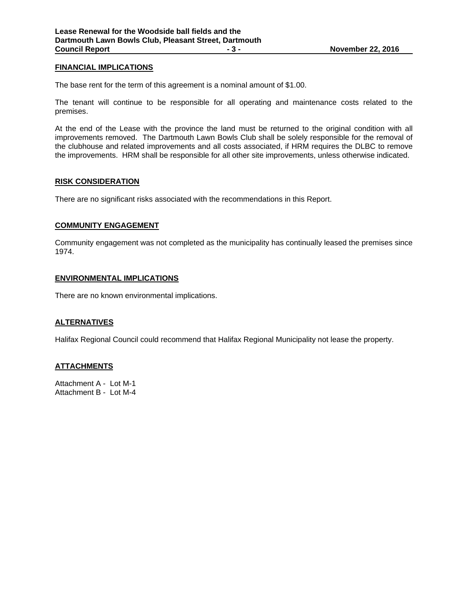# **FINANCIAL IMPLICATIONS**

The base rent for the term of this agreement is a nominal amount of \$1.00.

The tenant will continue to be responsible for all operating and maintenance costs related to the premises.

At the end of the Lease with the province the land must be returned to the original condition with all improvements removed. The Dartmouth Lawn Bowls Club shall be solely responsible for the removal of the clubhouse and related improvements and all costs associated, if HRM requires the DLBC to remove the improvements. HRM shall be responsible for all other site improvements, unless otherwise indicated.

#### **RISK CONSIDERATION**

There are no significant risks associated with the recommendations in this Report.

#### **COMMUNITY ENGAGEMENT**

Community engagement was not completed as the municipality has continually leased the premises since 1974.

#### **ENVIRONMENTAL IMPLICATIONS**

There are no known environmental implications.

#### **ALTERNATIVES**

Halifax Regional Council could recommend that Halifax Regional Municipality not lease the property.

#### **ATTACHMENTS**

Attachment A - Lot M-1 Attachment B - Lot M-4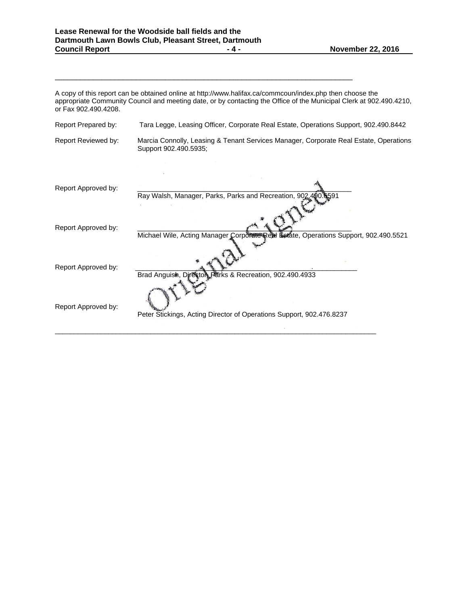\_\_\_\_\_\_\_\_\_\_\_\_\_\_\_\_\_\_\_\_\_\_\_\_\_\_\_\_\_\_\_\_\_\_\_\_\_\_\_\_\_\_\_\_\_\_\_\_\_\_\_\_\_\_\_\_\_\_\_\_\_\_\_\_\_\_\_\_\_\_

A copy of this report can be obtained online at http://www.halifax.ca/commcoun/index.php then choose the appropriate Community Council and meeting date, or by contacting the Office of the Municipal Clerk at 902.490.4210, or Fax 902.490.4208. Report Prepared by: Tara Legge, Leasing Officer, Corporate Real Estate, Operations Support, 902.490.8442 Report Reviewed by: Marcia Connolly, Leasing & Tenant Services Manager, Corporate Real Estate, Operations Support 902.490.5935; ÷. Report Approved by: Ray Walsh, Manager, Parks, Parks and Recreation, 902. Report Approved by: Michael Wile, Acting Manager Corporate Real Estate, Operations Support, 902.490.5521 Report Approved by: Brad Anguish, Director, Parks & Recreation, 902.490.4933 Report Approved by: Peter Stickings, Acting Director of Operations Support, 902.476.8237  $\overline{\phantom{a}}$  , and the set of the set of the set of the set of the set of the set of the set of the set of the set of the set of the set of the set of the set of the set of the set of the set of the set of the set of the s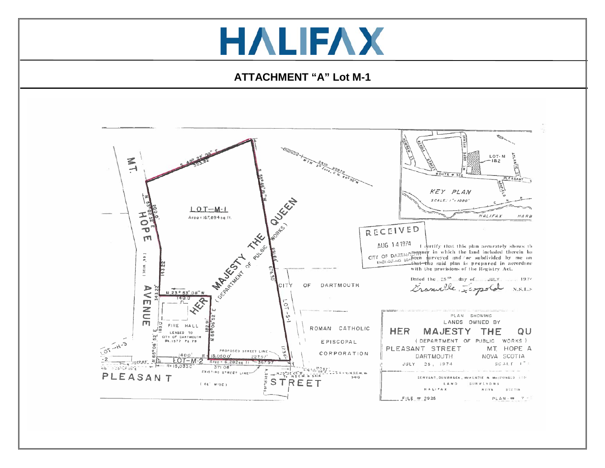# **HALIFAX**

# **ATTACHMENT "A" Lot M-1**